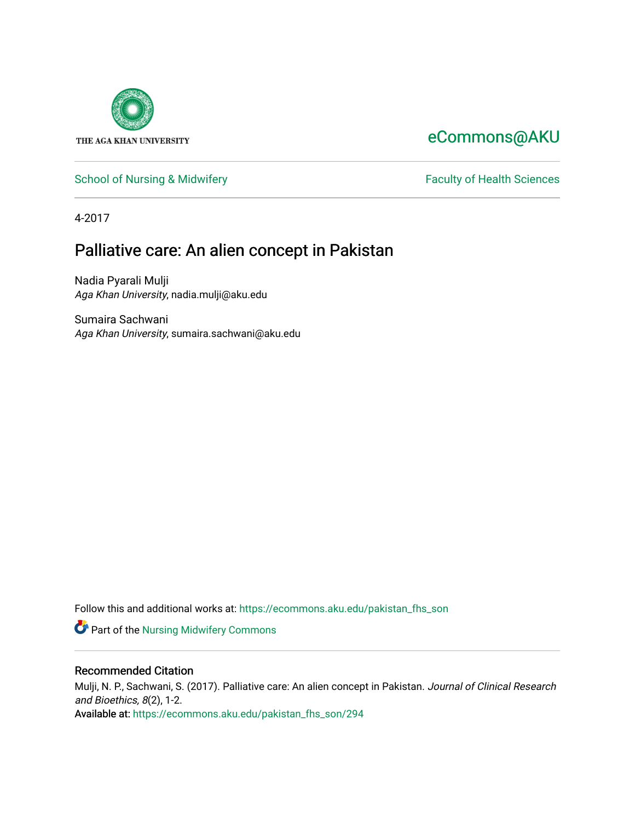

# [eCommons@AKU](https://ecommons.aku.edu/)

## [School of Nursing & Midwifery](https://ecommons.aku.edu/pakistan_fhs_son) **Faculty of Health Sciences** Faculty of Health Sciences

4-2017

# Palliative care: An alien concept in Pakistan

Nadia Pyarali Mulji Aga Khan University, nadia.mulji@aku.edu

Sumaira Sachwani Aga Khan University, sumaira.sachwani@aku.edu

Follow this and additional works at: [https://ecommons.aku.edu/pakistan\\_fhs\\_son](https://ecommons.aku.edu/pakistan_fhs_son?utm_source=ecommons.aku.edu%2Fpakistan_fhs_son%2F294&utm_medium=PDF&utm_campaign=PDFCoverPages) 

Part of the [Nursing Midwifery Commons](http://network.bepress.com/hgg/discipline/722?utm_source=ecommons.aku.edu%2Fpakistan_fhs_son%2F294&utm_medium=PDF&utm_campaign=PDFCoverPages) 

## Recommended Citation

Mulji, N. P., Sachwani, S. (2017). Palliative care: An alien concept in Pakistan. Journal of Clinical Research and Bioethics, 8(2), 1-2. Available at: [https://ecommons.aku.edu/pakistan\\_fhs\\_son/294](https://ecommons.aku.edu/pakistan_fhs_son/294)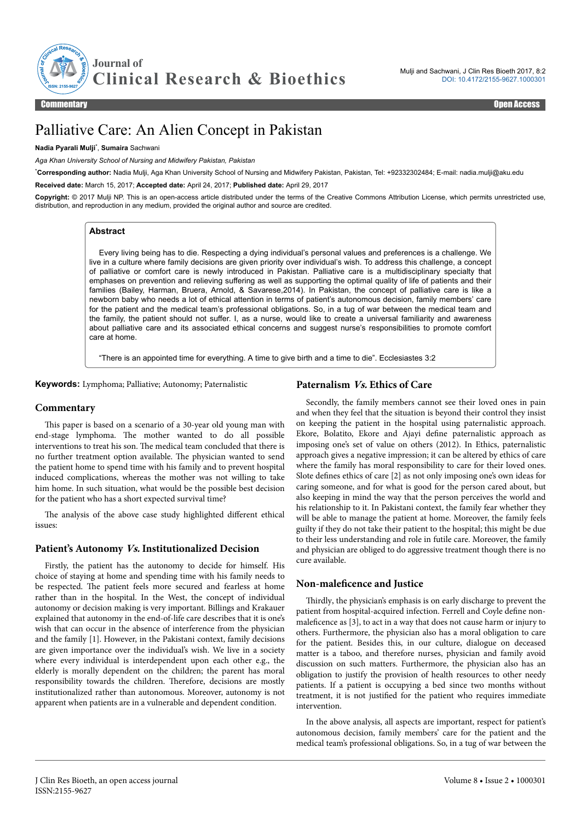

## Palliative Care: An Alien Concept in Pakistan

#### **Nadia Pyarali Mulji**\* , **Sumaira** Sachwani

*Aga Khan University School of Nursing and Midwifery Pakistan, Pakistan*

\***Corresponding author:** Nadia Mulji, Aga Khan University School of Nursing and Midwifery Pakistan, Pakistan, Tel: +92332302484; E-mail: nadia.mulji@aku.edu

**Received date:** March 15, 2017; **Accepted date:** April 24, 2017; **Published date:** April 29, 2017

**Copyright:** © 2017 Mulji NP. This is an open-access article distributed under the terms of the Creative Commons Attribution License, which permits unrestricted use, distribution, and reproduction in any medium, provided the original author and source are credited.

## **Abstract**

Every living being has to die. Respecting a dying individual's personal values and preferences is a challenge. We live in a culture where family decisions are given priority over individual's wish. To address this challenge, a concept of palliative or comfort care is newly introduced in Pakistan. Palliative care is a multidisciplinary specialty that emphases on prevention and relieving suffering as well as supporting the optimal quality of life of patients and their families (Bailey, Harman, Bruera, Arnold, & Savarese,2014). In Pakistan, the concept of palliative care is like a newborn baby who needs a lot of ethical attention in terms of patient's autonomous decision, family members' care for the patient and the medical team's professional obligations. So, in a tug of war between the medical team and the family, the patient should not suffer. I, as a nurse, would like to create a universal familiarity and awareness about palliative care and its associated ethical concerns and suggest nurse's responsibilities to promote comfort care at home.

"There is an appointed time for everything. A time to give birth and a time to die". Ecclesiastes 3:2

**Keywords:** Lymphoma; Palliative; Autonomy; Paternalistic

## **Paternalism Vs. Ethics of Care**

#### **Commentary**

This paper is based on a scenario of a 30-year old young man with end-stage lymphoma. Нe mother wanted to do all possible interventions to treat his son. Нe medical team concluded that there is no further treatment option available. Нe physician wanted to send the patient home to spend time with his family and to prevent hospital induced complications, whereas the mother was not willing to take him home. In such situation, what would be the possible best decision for the patient who has a short expected survival time?

The analysis of the above case study highlighted different ethical issues:

## **Patient's Autonomy Vs. Institutionalized Decision**

Firstly, the patient has the autonomy to decide for himself. His choice of staying at home and spending time with his family needs to be respected. The patient feels more secured and fearless at home rather than in the hospital. In the West, the concept of individual autonomy or decision making is very important. Billings and Krakauer explained that autonomy in the end-of-life care describes that it is one's wish that can occur in the absence of interference from the physician and the family [1]. However, in the Pakistani context, family decisions are given importance over the individual's wish. We live in a society where every individual is interdependent upon each other e.g., the elderly is morally dependent on the children; the parent has moral responsibility towards the children. Нerefore, decisions are mostly institutionalized rather than autonomous. Moreover, autonomy is not apparent when patients are in a vulnerable and dependent condition.

Secondly, the family members cannot see their loved ones in pain and when they feel that the situation is beyond their control they insist on keeping the patient in the hospital using paternalistic approach. Ekore, Bolatito, Ekore and Ajayi define paternalistic approach as imposing one's set of value on others (2012). In Ethics, paternalistic approach gives a negative impression; it can be altered by ethics of care where the family has moral responsibility to care for their loved ones. Slote defines ethics of care [2] as not only imposing one's own ideas for caring someone, and for what is good for the person cared about, but also keeping in mind the way that the person perceives the world and his relationship to it. In Pakistani context, the family fear whether they will be able to manage the patient at home. Moreover, the family feels guilty if they do not take their patient to the hospital; this might be due to their less understanding and role in futile care. Moreover, the family and physician are obliged to do aggressive treatment though there is no cure available.

## **Non-maleficence and Justice**

Thirdly, the physician's emphasis is on early discharge to prevent the patient from hospital-acquired infection. Ferrell and Coyle define nonmaleficence as  $[3]$ , to act in a way that does not cause harm or injury to others. Furthermore, the physician also has a moral obligation to care for the patient. Besides this, in our culture, dialogue on deceased matter is a taboo, and therefore nurses, physician and family avoid discussion on such matters. Furthermore, the physician also has an obligation to justify the provision of health resources to other needy patients. If a patient is occupying a bed since two months without treatment, it is not justified for the patient who requires immediate intervention.

In the above analysis, all aspects are important, respect for patient's autonomous decision, family members' care for the patient and the medical team's professional obligations. So, in a tug of war between the